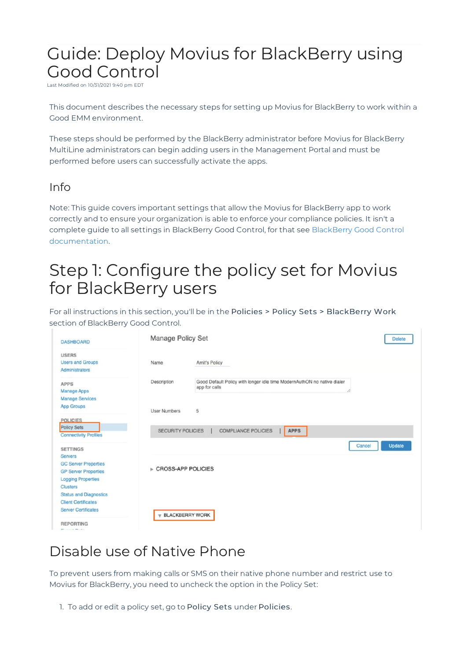# Guide: Deploy Movius for BlackBerry using Good Control

Last Modified on 10/31/2021 9:40 pm EDT

This document describes the necessary steps for setting up Movius for BlackBerry to work within a Good EMM environment.

These steps should be performed by the BlackBerry administrator before Movius for BlackBerry MultiLine administrators can begin adding users in the Management Portal and must be performed before users can successfully activate the apps.

#### Info

Note: This guide covers important settings that allow the Movius for BlackBerry app to work correctly and to ensure your organization is able to enforce your compliance policies. It isn't a complete guide to all settings in BlackBerry Good Control, for that see BlackBerry Good Control documentation.

# Step 1: Configure the policy set for Movius for BlackBerry users

For all instructions in this section, you'll be in the Policies > Policy Sets > BlackBerry Work section of BlackBerry Good Control.

| <b>DASHBOARD</b>                                                                                           | <b>Manage Policy Set</b>                |                                                                                                | <b>Delete</b>           |
|------------------------------------------------------------------------------------------------------------|-----------------------------------------|------------------------------------------------------------------------------------------------|-------------------------|
| <b>USERS</b><br><b>Users and Groups</b><br>Administrators                                                  | Name                                    | Amit's Policy                                                                                  |                         |
| <b>APPS</b><br><b>Manage Apps</b><br><b>Manage Services</b>                                                | Description                             | Good Default Policy with longer idle time ModernAuthON no native dialer<br>app for calls<br>p. |                         |
| <b>App Groups</b><br><b>POLICIES</b>                                                                       | <b>User Numbers</b>                     | 5                                                                                              |                         |
| <b>Policy Sets</b><br><b>Connectivity Profiles</b>                                                         | <b>SECURITY POLICIES</b>                | <b>COMPLIANCE POLICIES</b><br><b>APPS</b>                                                      |                         |
| <b>SETTINGS</b><br><b>Servers</b>                                                                          |                                         |                                                                                                | <b>Update</b><br>Cancel |
| <b>GC Server Properties</b><br><b>GP Server Properties</b><br><b>Logging Properties</b><br><b>Clusters</b> | ► CROSS-APP POLICIES                    |                                                                                                |                         |
| <b>Status and Diagnostics</b><br><b>Client Certificates</b><br><b>Server Certificates</b>                  | $\overline{\mathbf{v}}$ BLACKBERRY WORK |                                                                                                |                         |
| <b>REPORTING</b><br>______                                                                                 |                                         |                                                                                                |                         |

## Disable use of Native Phone

To prevent users from making calls or SMS on their native phone number and restrict use to Movius for BlackBerry, you need to uncheck the option in the Policy Set:

1. To add or edit a policy set, go to Policy Sets under Policies.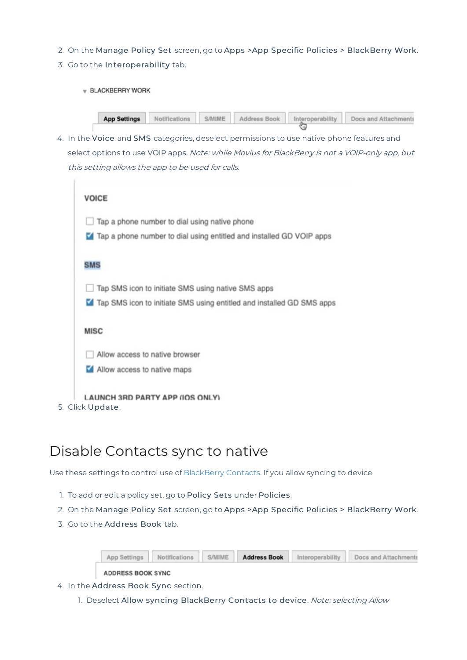- 2. On the Manage Policy Set screen, go to Apps >App Specific Policies > BlackBerry Work.
- 3. Go to the Interoperability tab.
	- $\forall$  BLACKBERRY WORK

|  |  | <b>App Settings</b> Notifications S/MIME Address Book Interoperability Docs and Attachments |
|--|--|---------------------------------------------------------------------------------------------|
|  |  |                                                                                             |

4. In the Voice and SMS categories, deselect permissions to use native phone features and select options to use VOIP apps. Note: while Movius for BlackBerry is not a VOIP-only app, but this setting allows the app to be used for calls.

| <b>VOICE</b>                                                            |
|-------------------------------------------------------------------------|
| $\Box$ Tap a phone number to dial using native phone                    |
| Tap a phone number to dial using entitled and installed GD VOIP apps    |
| <b>SMS</b>                                                              |
| Tap SMS icon to initiate SMS using native SMS apps                      |
| M Tap SMS icon to initiate SMS using entitled and installed GD SMS apps |
| <b>MISC</b>                                                             |
| Allow access to native browser                                          |
| Allow access to native maps                                             |
| <b>LAUNCH 3RD PARTY APP (IOS ONLY)</b>                                  |
| 5. Click Update.                                                        |

### Disable Contacts sync to native

Use these settings to control use of BlackBerry Contacts. If you allow syncing to device

- 1. To add or edit a policy set, go to Policy Sets under Policies.
- 2. On the Manage Policy Set screen, go to Apps >App Specific Policies > BlackBerry Work.
- 3. Go to the Address Book tab.

|  |  | App Settings Notifications S/MIME Address Book Interoperability Docs and Attachments |
|--|--|--------------------------------------------------------------------------------------|
|  |  |                                                                                      |

**ADDRESS BOOK SYNC** 

- 4. In the Address Book Sync section.
	- 1. Deselect Allow syncing BlackBerry Contacts to device. Note: selecting Allow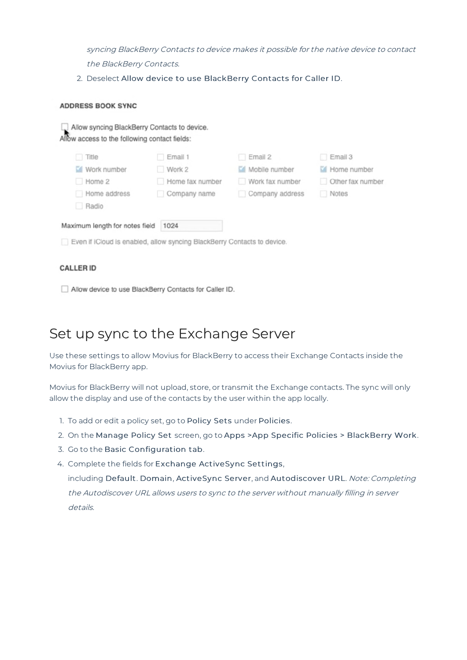syncing BlackBerry Contacts to device makes it possible for the native device to contact the BlackBerry Contacts.

2. Deselect Allow device to use BlackBerry Contacts for Caller ID.

#### **ADDRESS BOOK SYNC**

| Allow syncing BlackBerry Contacts to device.<br>Allow access to the following contact fields: |                 |                 |                  |
|-----------------------------------------------------------------------------------------------|-----------------|-----------------|------------------|
| Title                                                                                         | Email 1         | Email 2<br>п    | Email 3          |
| Mork number                                                                                   | Work 2          | Mobile number   | Home number      |
| Home 2                                                                                        | Home fax number | Work fax number | Other fax number |
| Home address                                                                                  | Company name    | Company address | Notes            |
| Radio                                                                                         |                 |                 |                  |
| Maximum length for notes field                                                                | 1024            |                 |                  |
| Even if iCloud is enabled, allow syncing BlackBerry Contacts to device.                       |                 |                 |                  |

#### **CALLER ID**

Allow device to use BlackBerry Contacts for Caller ID.

### Set up sync to the Exchange Server

Use these settings to allow Movius for BlackBerry to access their Exchange Contacts inside the Movius for BlackBerry app.

Movius for BlackBerry will not upload, store, or transmit the Exchange contacts. The sync will only allow the display and use of the contacts by the user within the app locally.

- 1. To add or edit a policy set, go to Policy Sets under Policies.
- 2. On the Manage Policy Set screen, go to Apps >App Specific Policies > BlackBerry Work.
- 3. Go to the Basic Configuration tab.
- 4. Complete the fields for Exchange ActiveSync Settings,

including Default. Domain, ActiveSync Server, and Autodiscover URL. Note: Completing the Autodiscover URL allows users to sync to the server without manually filling in server details.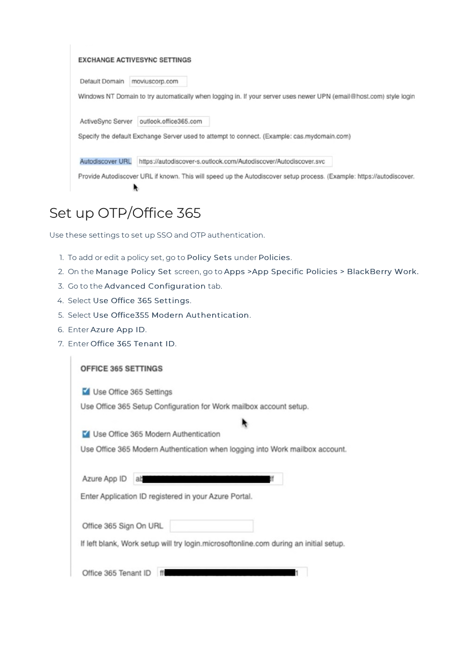#### **EXCHANGE ACTIVESYNC SETTINGS**

Default Domain moviuscorp.com

Windows NT Domain to try automatically when logging in. If your server uses newer UPN (email@host.com) style login

ActiveSync Server outlook.office365.com

Specify the default Exchange Server used to attempt to connect. (Example: cas.mydomain.com)

Autodiscover URL https://autodiscover-s.outlook.com/Autodiscover/Autodiscover.svc

Provide Autodiscover URL if known. This will speed up the Autodiscover setup process. (Example: https://autodiscover.  $\ddot{ }$ 

### Set up OTP/Office 365

Use these settings to set up SSO and OTP authentication.

- 1. To add or edit a policy set, go to Policy Sets under Policies.
- 2. On the Manage Policy Set screen, go to Apps >App Specific Policies > BlackBerry Work.
- 3. Go to the Advanced Configuration tab.
- 4. Select Use Office 365 Settings.
- 5. Select Use Office355 Modern Authentication.
- 6. Enter Azure App ID.
- 7. Enter Office 365 Tenant ID.

| <b>OFFICE 365 SETTINGS</b>                                                            |
|---------------------------------------------------------------------------------------|
| Use Office 365 Settings                                                               |
| Use Office 365 Setup Configuration for Work mailbox account setup.                    |
|                                                                                       |
| V Use Office 365 Modern Authentication                                                |
| Use Office 365 Modern Authentication when logging into Work mailbox account.          |
|                                                                                       |
| Azure App ID<br>at                                                                    |
| Enter Application ID registered in your Azure Portal.                                 |
|                                                                                       |
| Office 365 Sign On URL                                                                |
| If left blank, Work setup will try login.microsoftonline.com during an initial setup. |
|                                                                                       |
| Office 365 Tenant ID                                                                  |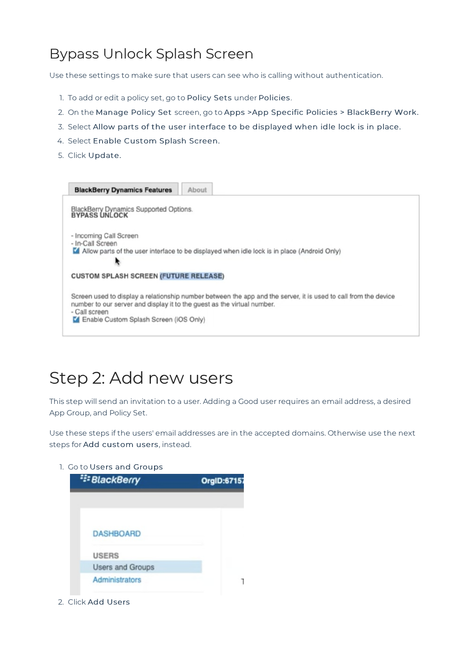## Bypass Unlock Splash Screen

Use these settings to make sure that users can see who is calling without authentication.

- 1. To add or edit a policy set, go to Policy Sets under Policies.
- 2. On the Manage Policy Set screen, go to Apps >App Specific Policies > BlackBerry Work.
- 3. Select Allow parts of the user interface to be displayed when idle lock is in place.
- 4. Select Enable Custom Splash Screen.
- 5. Click Update.



## Step 2: Add new users

This step will send an invitation to a user. Adding a Good user requires an email address, a desired App Group, and Policy Set.

Use these steps if the users' email addresses are in the accepted domains. Otherwise use the next steps for Add custom users, instead.

1. Go to Users and Groups



2. Click Add Users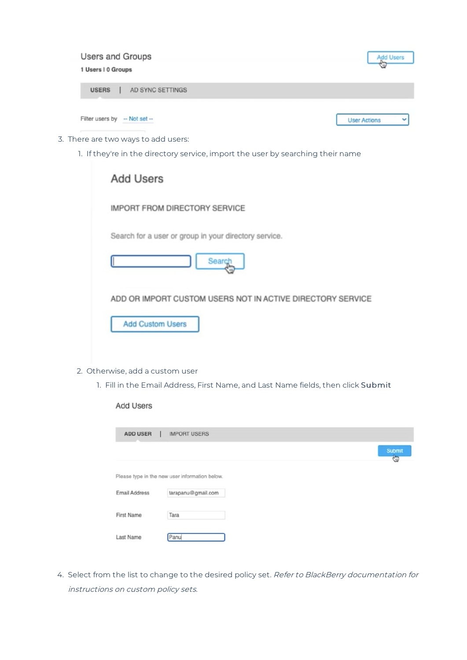| <b>Users and Groups</b>          | <b>Add Users</b>    |
|----------------------------------|---------------------|
| 1 Users   0 Groups               | ٠ŵ                  |
| AD SYNC SETTINGS<br><b>USERS</b> |                     |
| Filter users by                  | <b>User Actions</b> |
| $-$ Not set $-$                  | v                   |

- 3. There are two ways to add users:
	- 1. If they're in the directory service, import the user by searching their name

| <b>Add Users</b>                                           |
|------------------------------------------------------------|
| <b>IMPORT FROM DIRECTORY SERVICE</b>                       |
| Search for a user or group in your directory service.      |
| Search                                                     |
| ADD OR IMPORT CUSTOM USERS NOT IN ACTIVE DIRECTORY SERVICE |
| <b>Add Custom Users</b>                                    |

- 2. Otherwise, add a custom user
	- 1. Fill in the Email Address, First Name, and Last Name fields, then click Submit

Add Users

| <b>ADD USER</b>      | <b>IMPORT USERS</b>                            |  |             |
|----------------------|------------------------------------------------|--|-------------|
|                      |                                                |  | Submit<br>Ġ |
|                      | Please type in the new user information below. |  |             |
| <b>Email Address</b> | tarapanu@gmail.com                             |  |             |
| First Name           | Tara                                           |  |             |
| Last Name            | Panu                                           |  |             |

4. Select from the list to change to the desired policy set. Refer to BlackBerry documentation for instructions on custom policy sets.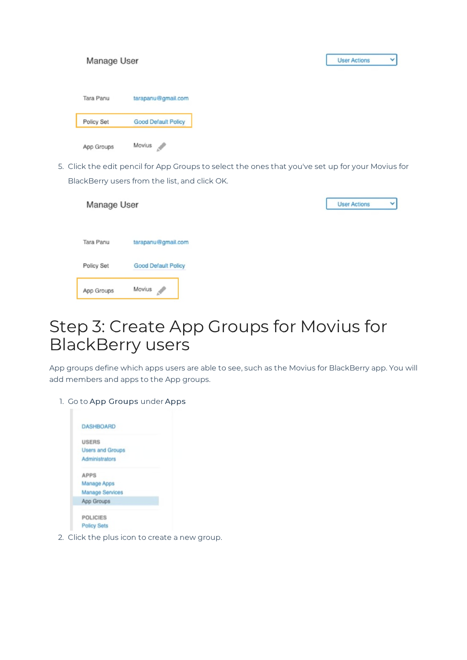| Manage User |                            |
|-------------|----------------------------|
| Tara Panu   | tarapanu@gmail.com         |
| Policy Set  | <b>Good Default Policy</b> |
| App Groups  | Movius<br>$\mathcal{L}$    |

5. Click the edit pencil for App Groups to select the ones that you've set up for your Movius for BlackBerry users from the list, and click OK.

| Manage User |                            | <b>User Actions</b><br>$\checkmark$ |
|-------------|----------------------------|-------------------------------------|
|             |                            |                                     |
| Tara Panu   | tarapanu@gmail.com         |                                     |
| Policy Set  | <b>Good Default Policy</b> |                                     |
| App Groups  | Movius<br>Í                |                                     |

# Step 3: Create App Groups for Movius for BlackBerry users

App groups define which apps users are able to see, such as the Movius for BlackBerry app. You will add members and apps to the App groups.

1. Go to App Groups under Apps

| <b>USERS</b>            |  |
|-------------------------|--|
| <b>Users and Groups</b> |  |
| Administrators          |  |
| <b>APPS</b>             |  |
| <b>Manage Apps</b>      |  |
| <b>Manage Services</b>  |  |
| App Groups              |  |
| <b>POLICIES</b>         |  |
| <b>Policy Sets</b>      |  |

2. Click the plus icon to create a new group.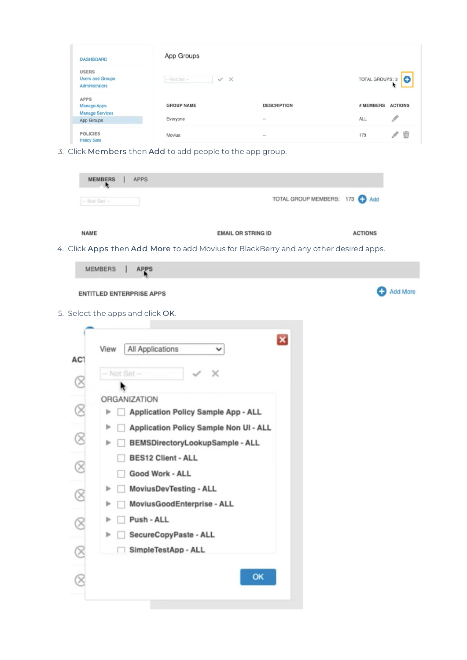| <b>DASHBOARD</b>                                          | App Groups                                  |                    |                             |
|-----------------------------------------------------------|---------------------------------------------|--------------------|-----------------------------|
| <b>USERS</b><br><b>Users and Groups</b><br>Administrators | $\times$<br>$-$ Not Set $-$<br>$\checkmark$ |                    | TOTAL GROUPS: 3             |
| <b>APPS</b><br><b>Manage Apps</b>                         | <b>GROUP NAME</b>                           | <b>DESCRIPTION</b> | # MEMBERS<br><b>ACTIONS</b> |
| <b>Manage Services</b><br>App Groups                      | Everyone                                    | $\sim$             | <b>ALL</b>                  |
| <b>POLICIES</b><br><b>Policy Sets</b>                     | Movius                                      | $\sim$             | 173                         |

3. Click Members then Add to add people to the app group.

|                        | <b>MEMBERS</b><br>$-$ Not Set $-$ | <b>APPS</b>                                                                                                                                                                       |                           | TOTAL GROUP MEMBERS: 173 C Add |                |          |
|------------------------|-----------------------------------|-----------------------------------------------------------------------------------------------------------------------------------------------------------------------------------|---------------------------|--------------------------------|----------------|----------|
| <b>NAME</b>            |                                   | 4. Click Apps then Add More to add Movius for BlackBerry and any other desired apps.                                                                                              | <b>EMAIL OR STRING ID</b> |                                | <b>ACTIONS</b> |          |
|                        | <b>MEMBERS</b>                    | <b>APPS</b>                                                                                                                                                                       |                           |                                |                |          |
|                        |                                   | <b>ENTITLED ENTERPRISE APPS</b><br>5. Select the apps and click OK.                                                                                                               |                           |                                |                | Add More |
| AC1<br>$\otimes$       | View<br>$-$ Not Set $-$           | All Applications<br>x                                                                                                                                                             | $\boldsymbol{\mathsf{x}}$ |                                |                |          |
|                        |                                   | ORGANIZATION                                                                                                                                                                      |                           |                                |                |          |
| $^{\circledR}$         | Þ                                 | Application Policy Sample App - ALL                                                                                                                                               |                           |                                |                |          |
| C<br>$\otimes$         | Þ<br>ь<br>Þ<br>Þ                  | Application Policy Sample Non UI - ALL<br>BEMSDirectoryLookupSample - ALL<br><b>BES12 Client - ALL</b><br>Good Work - ALL<br>MoviusDevTesting - ALL<br>MoviusGoodEnterprise - ALL |                           |                                |                |          |
|                        | Þ<br>Þ                            | Push - ALL<br>SecureCopyPaste - ALL                                                                                                                                               |                           |                                |                |          |
| $\otimes$<br>$\otimes$ |                                   | SimpleTestApp - ALL                                                                                                                                                               | OK                        |                                |                |          |